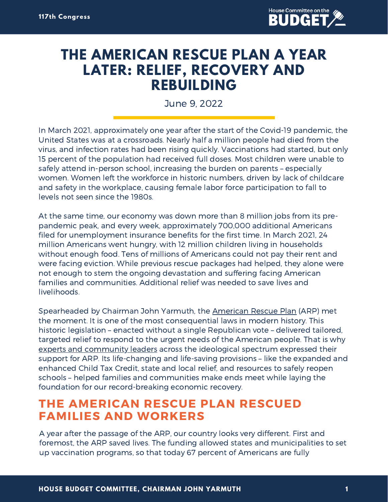

## **THE AMERICAN RESCUE PLAN A YEAR LATER: RELIEF, RECOVERY AND REBUILDING**

June 9, 2022

In March 2021, approximately one year after the start of the Covid-19 pandemic, the United States was at a crossroads. Nearly half a million people had died from the virus, and infection rates had been rising quickly. Vaccinations had started, but only 15 percent of the population had received full doses. Most children were unable to safely attend in-person school, increasing the burden on parents – especially women. Women left the workforce in historic numbers, driven by lack of childcare and safety in the workplace, causing female labor force participation to fall to levels not seen since the 1980s.

At the same time, our economy was down more than 8 million jobs from its prepandemic peak, and every week, approximately 700,000 additional Americans filed for unemployment insurance benefits for the first time. In March 2021, 24 million Americans went hungry, with 12 million children living in households without enough food. Tens of millions of Americans could not pay their rent and were facing eviction. While previous rescue packages had helped, they alone were not enough to stem the ongoing devastation and suffering facing American families and communities. Additional relief was needed to save lives and livelihoods.

Spearheaded by Chairman John Yarmuth, the [American](https://budget.house.gov/publications/report/help-way-budget-reconciliation-moves-american-rescue-plan-forward) Rescue Plan (ARP) met the moment. It is one of the most consequential laws in modern history. This historic legislation – enacted without a single Republican vote – delivered tailored, targeted relief to respond to the urgent needs of the American people. That is why experts and [community](https://budget.house.gov/publications/report/experts-and-leaders-agree-country-needs-american-rescue-plan-now) leaders across the ideological spectrum expressed their support for ARP. Its life-changing and life-saving provisions – like the expanded and enhanced Child Tax Credit, state and local relief, and resources to safely reopen schools – helped families and communities make ends meet while laying the foundation for our record-breaking economic recovery.

## **THE AMERICAN RESCUE PLAN RESCUED FAMILIES AND WORKERS**

A year after the passage of the ARP, our country looks very different. First and foremost, the ARP saved lives. The funding allowed states and municipalities to set up vaccination programs, so that today 67 percent of Americans are fully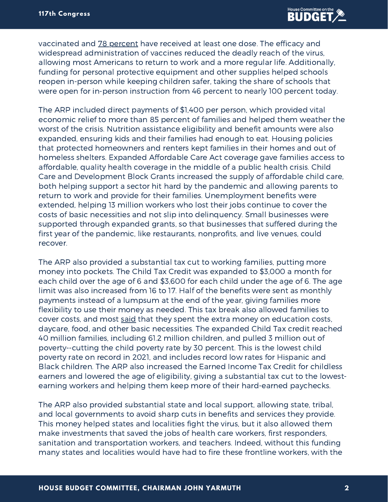vaccinated and 78 [percent](https://covid.cdc.gov/covid-data-tracker/#vaccinations_vacc-total-admin-rate-total) have received at least one dose. The efficacy and widespread administration of vaccines reduced the deadly reach of the virus, allowing most Americans to return to work and a more regular life. Additionally, funding for personal protective equipment and other supplies helped schools reopen in-person while keeping children safer, taking the share of schools that were open for in-person instruction from 46 percent to nearly 100 percent today.

The ARP included direct payments of \$1,400 per person, which provided vital economic relief to more than 85 percent of families and helped them weather the worst of the crisis. Nutrition assistance eligibility and benefit amounts were also expanded, ensuring kids and their families had enough to eat. Housing policies that protected homeowners and renters kept families in their homes and out of homeless shelters. Expanded Affordable Care Act coverage gave families access to affordable, quality health coverage in the middle of a public health crisis. Child Care and Development Block Grants increased the supply of affordable child care, both helping support a sector hit hard by the pandemic and allowing parents to return to work and provide for their families. Unemployment benefits were extended, helping 13 million workers who lost their jobs continue to cover the costs of basic necessities and not slip into delinquency. Small businesses were supported through expanded grants, so that businesses that suffered during the first year of the pandemic, like restaurants, nonprofits, and live venues, could recover.

The ARP also provided a substantial tax cut to working families, putting more money into pockets. The Child Tax Credit was expanded to \$3,000 a month for each child over the age of 6 and \$3,600 for each child under the age of 6. The age limit was also increased from 16 to 17. Half of the benefits were sent as monthly payments instead of a lumpsum at the end of the year, giving families more flexibility to use their money as needed. This tax break also allowed families to cover costs, and most [said](https://www.cbpp.org/blog/9-in-10-families-with-low-incomes-are-using-child-tax-credits-to-pay-for-necessities-education) that they spent the extra money on education costs, daycare, food, and other basic necessities. The expanded Child Tax credit reached 40 million families, including 61.2 million children, and pulled 3 million out of poverty--cutting the child poverty rate by 30 percent. This is the lowest child poverty rate on record in 2021, and includes record low rates for Hispanic and Black children. The ARP also increased the Earned Income Tax Credit for childless earners and lowered the age of eligibility, giving a substantial tax cut to the lowestearning workers and helping them keep more of their hard-earned paychecks.

The ARP also provided substantial state and local support, allowing state, tribal, and local governments to avoid sharp cuts in benefits and services they provide. This money helped states and localities fight the virus, but it also allowed them make investments that saved the jobs of health care workers, first responders, sanitation and transportation workers, and teachers. Indeed, without this funding many states and localities would have had to fire these frontline workers, with the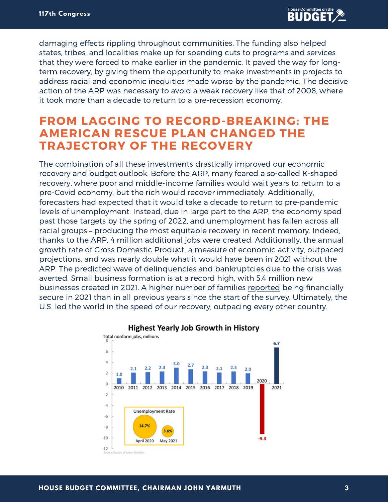damaging effects rippling throughout communities. The funding also helped states, tribes, and localities make up for spending cuts to programs and services that they were forced to make earlier in the pandemic. It paved the way for longterm recovery, by giving them the opportunity to make investments in projects to address racial and economic inequities made worse by the pandemic. The decisive action of the ARP was necessary to avoid a weak recovery like that of 2008, where it took more than a decade to return to a pre-recession economy.

## **FROM LAGGING TO RECORD-BREAKING: THE AMERICAN RESCUE PLAN CHANGED THE TRAJECTORY OF THE RECOVERY**

The combination of all these investments drastically improved our economic recovery and budget outlook. Before the ARP, many feared a so-called K-shaped recovery, where poor and middle-income families would wait years to return to a pre-Covid economy, but the rich would recover immediately. Additionally, forecasters had expected that it would take a decade to return to pre-pandemic levels of unemployment. Instead, due in large part to the ARP, the economy sped past those targets by the spring of 2022, and unemployment has fallen across all racial groups – producing the most equitable recovery in recent memory. Indeed, thanks to the ARP, 4 million additional jobs were created. Additionally, the annual growth rate of Gross Domestic Product, a measure of economic activity, outpaced projections, and was nearly double what it would have been in 2021 without the ARP. The predicted wave of delinquencies and bankruptcies due to the crisis was averted. Small business formation is at a record high, with 5.4 million new businesses created in 2021. A higher number of families [reported](https://www.whitehouse.gov/briefing-room/statements-releases/2022/05/24/fact-sheet-biden-harris-report-advancing-equity-through-the-american-rescue-plan/#:~:text=The%20American%20Rescue%20Plan%20provided,COVID%2D19%20exacerbated%20existing%20challenges) being financially secure in 2021 than in all previous years since the start of the survey. Ultimately, the U.S. led the world in the speed of our recovery, outpacing every other country.



## **Highest Yearly Job Growth in History**